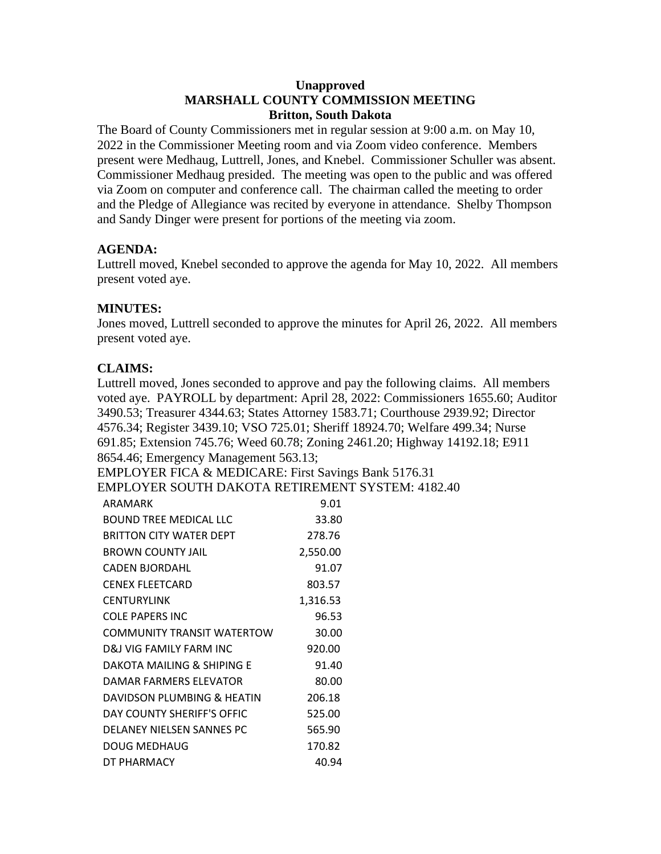### **Unapproved MARSHALL COUNTY COMMISSION MEETING Britton, South Dakota**

The Board of County Commissioners met in regular session at 9:00 a.m. on May 10, 2022 in the Commissioner Meeting room and via Zoom video conference. Members present were Medhaug, Luttrell, Jones, and Knebel. Commissioner Schuller was absent. Commissioner Medhaug presided. The meeting was open to the public and was offered via Zoom on computer and conference call. The chairman called the meeting to order and the Pledge of Allegiance was recited by everyone in attendance. Shelby Thompson and Sandy Dinger were present for portions of the meeting via zoom.

# **AGENDA:**

Luttrell moved, Knebel seconded to approve the agenda for May 10, 2022. All members present voted aye.

# **MINUTES:**

Jones moved, Luttrell seconded to approve the minutes for April 26, 2022. All members present voted aye.

# **CLAIMS:**

Luttrell moved, Jones seconded to approve and pay the following claims. All members voted aye. PAYROLL by department: April 28, 2022: Commissioners 1655.60; Auditor 3490.53; Treasurer 4344.63; States Attorney 1583.71; Courthouse 2939.92; Director 4576.34; Register 3439.10; VSO 725.01; Sheriff 18924.70; Welfare 499.34; Nurse 691.85; Extension 745.76; Weed 60.78; Zoning 2461.20; Highway 14192.18; E911 8654.46; Emergency Management 563.13;

EMPLOYER FICA & MEDICARE: First Savings Bank 5176.31

EMPLOYER SOUTH DAKOTA RETIREMENT SYSTEM: 4182.40

| ARAMARK                           | 9.01     |
|-----------------------------------|----------|
| BOUND TREE MEDICAL LLC            | 33.80    |
| BRITTON CITY WATER DEPT           | 278.76   |
| <b>BROWN COUNTY JAIL</b>          | 2,550.00 |
| <b>CADEN BJORDAHL</b>             | 91.07    |
| CENEX FLEETCARD                   | 803.57   |
| <b>CENTURYLINK</b>                | 1,316.53 |
| <b>COLE PAPERS INC</b>            | 96.53    |
| <b>COMMUNITY TRANSIT WATERTOW</b> | 30.00    |
| D&I VIG FAMILY FARM INC           | 920.00   |
| DAKOTA MAILING & SHIPING E        | 91.40    |
| DAMAR FARMERS ELEVATOR            | 80.00    |
| DAVIDSON PLUMBING & HEATIN        | 206.18   |
| DAY COUNTY SHERIFF'S OFFIC        | 525.00   |
| DELANEY NIELSEN SANNES PC         | 565.90   |
| DOUG MEDHAUG                      | 170.82   |
| DT PHARMACY                       | 40.94    |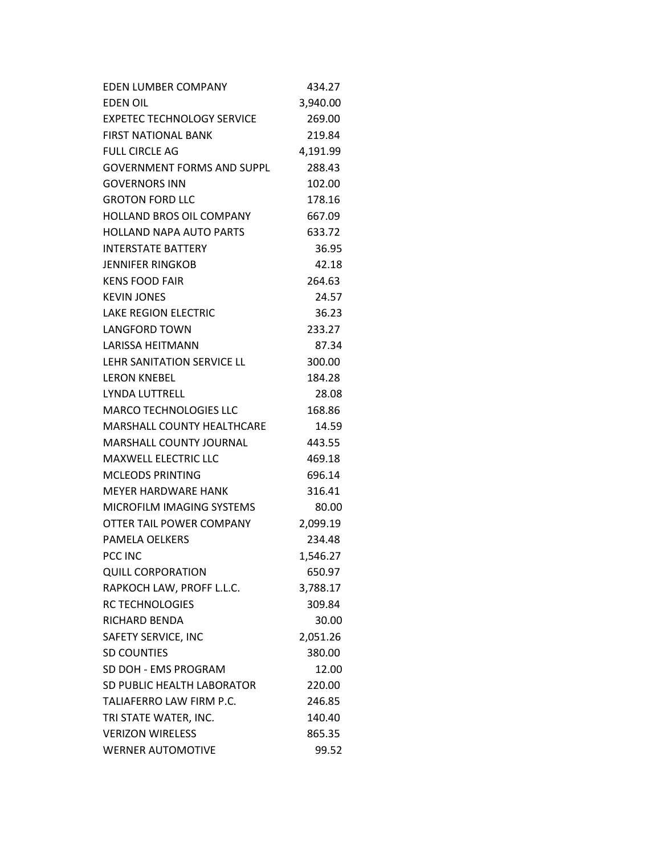| <b>EDEN LUMBER COMPANY</b>        | 434.27   |
|-----------------------------------|----------|
| <b>EDEN OIL</b>                   | 3,940.00 |
| <b>EXPETEC TECHNOLOGY SERVICE</b> | 269.00   |
| <b>FIRST NATIONAL BANK</b>        | 219.84   |
| <b>FULL CIRCLE AG</b>             | 4,191.99 |
| <b>GOVERNMENT FORMS AND SUPPL</b> | 288.43   |
| <b>GOVERNORS INN</b>              | 102.00   |
| <b>GROTON FORD LLC</b>            | 178.16   |
| <b>HOLLAND BROS OIL COMPANY</b>   | 667.09   |
| <b>HOLLAND NAPA AUTO PARTS</b>    | 633.72   |
| <b>INTERSTATE BATTERY</b>         | 36.95    |
| <b>JENNIFER RINGKOB</b>           | 42.18    |
| <b>KENS FOOD FAIR</b>             | 264.63   |
| <b>KEVIN JONES</b>                | 24.57    |
| <b>LAKE REGION ELECTRIC</b>       | 36.23    |
| <b>LANGFORD TOWN</b>              | 233.27   |
| <b>LARISSA HEITMANN</b>           | 87.34    |
| <b>LEHR SANITATION SERVICE LL</b> | 300.00   |
| <b>LERON KNEBEL</b>               | 184.28   |
| <b>LYNDA LUTTRELL</b>             | 28.08    |
| <b>MARCO TECHNOLOGIES LLC</b>     | 168.86   |
| MARSHALL COUNTY HEALTHCARE        | 14.59    |
| <b>MARSHALL COUNTY JOURNAL</b>    | 443.55   |
| <b>MAXWELL ELECTRIC LLC</b>       | 469.18   |
| <b>MCLEODS PRINTING</b>           | 696.14   |
| <b>MEYER HARDWARE HANK</b>        | 316.41   |
| MICROFILM IMAGING SYSTEMS         | 80.00    |
| OTTER TAIL POWER COMPANY          | 2,099.19 |
| PAMELA OELKERS                    | 234.48   |
| PCC INC                           | 1,546.27 |
| <b>QUILL CORPORATION</b>          | 650.97   |
| RAPKOCH LAW, PROFF L.L.C.         | 3,788.17 |
| <b>RC TECHNOLOGIES</b>            | 309.84   |
| RICHARD BENDA                     | 30.00    |
| SAFETY SERVICE, INC               | 2,051.26 |
| <b>SD COUNTIES</b>                | 380.00   |
| SD DOH - EMS PROGRAM              | 12.00    |
| SD PUBLIC HEALTH LABORATOR        | 220.00   |
| TALIAFERRO LAW FIRM P.C.          | 246.85   |
| TRI STATE WATER, INC.             | 140.40   |
| <b>VERIZON WIRELESS</b>           | 865.35   |
| <b>WERNER AUTOMOTIVE</b>          | 99.52    |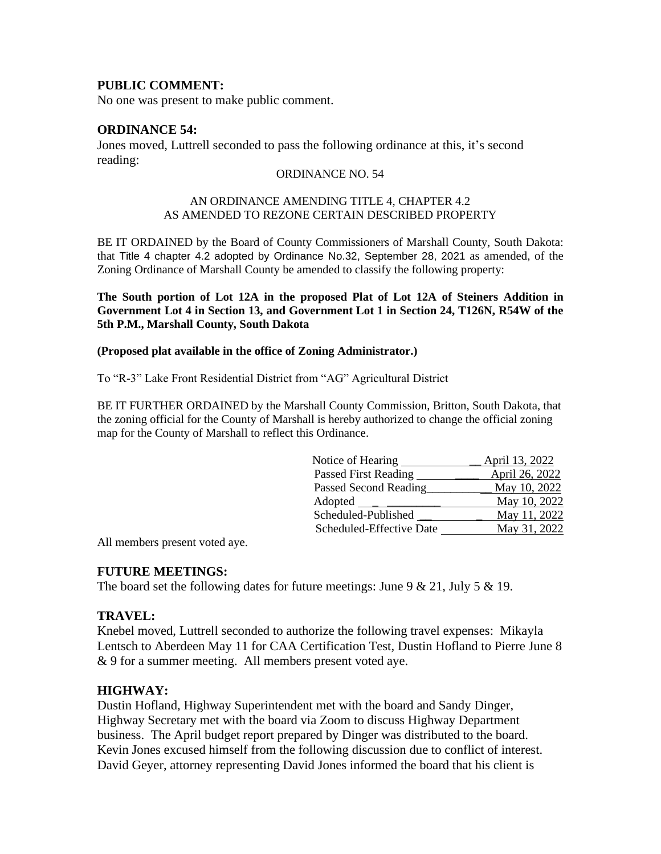### **PUBLIC COMMENT:**

No one was present to make public comment.

### **ORDINANCE 54:**

Jones moved, Luttrell seconded to pass the following ordinance at this, it's second reading:

#### ORDINANCE NO. 54

#### AN ORDINANCE AMENDING TITLE 4, CHAPTER 4.2 AS AMENDED TO REZONE CERTAIN DESCRIBED PROPERTY

BE IT ORDAINED by the Board of County Commissioners of Marshall County, South Dakota: that Title 4 chapter 4.2 adopted by Ordinance No.32, September 28, 2021 as amended, of the Zoning Ordinance of Marshall County be amended to classify the following property:

**The South portion of Lot 12A in the proposed Plat of Lot 12A of Steiners Addition in Government Lot 4 in Section 13, and Government Lot 1 in Section 24, T126N, R54W of the 5th P.M., Marshall County, South Dakota** 

#### **(Proposed plat available in the office of Zoning Administrator.)**

To "R-3" Lake Front Residential District from "AG" Agricultural District

BE IT FURTHER ORDAINED by the Marshall County Commission, Britton, South Dakota, that the zoning official for the County of Marshall is hereby authorized to change the official zoning map for the County of Marshall to reflect this Ordinance.

| Notice of Hearing                                       | April 13, 2022 |
|---------------------------------------------------------|----------------|
| Passed First Reading                                    | April 26, 2022 |
| Passed Second Reading                                   | May 10, 2022   |
| Adopted<br>the control of the control of the control of | May 10, 2022   |
| Scheduled-Published                                     | May 11, 2022   |
| Scheduled-Effective Date                                | May 31, 2022   |

All members present voted aye.

#### **FUTURE MEETINGS:**

The board set the following dates for future meetings: June  $9 & 21$ , July  $5 & 19$ .

#### **TRAVEL:**

Knebel moved, Luttrell seconded to authorize the following travel expenses: Mikayla Lentsch to Aberdeen May 11 for CAA Certification Test, Dustin Hofland to Pierre June 8 & 9 for a summer meeting. All members present voted aye.

#### **HIGHWAY:**

Dustin Hofland, Highway Superintendent met with the board and Sandy Dinger, Highway Secretary met with the board via Zoom to discuss Highway Department business. The April budget report prepared by Dinger was distributed to the board. Kevin Jones excused himself from the following discussion due to conflict of interest. David Geyer, attorney representing David Jones informed the board that his client is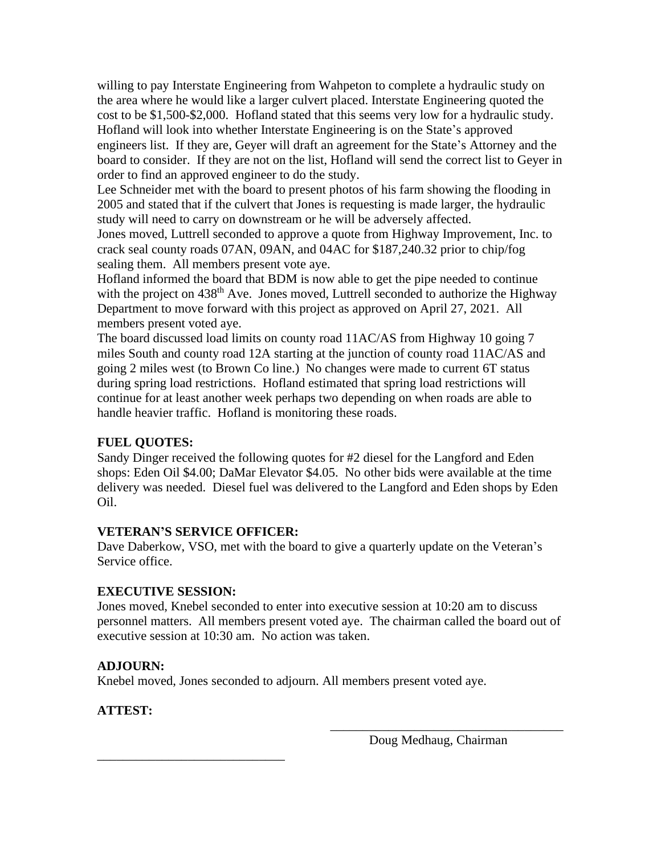willing to pay Interstate Engineering from Wahpeton to complete a hydraulic study on the area where he would like a larger culvert placed. Interstate Engineering quoted the cost to be \$1,500-\$2,000. Hofland stated that this seems very low for a hydraulic study. Hofland will look into whether Interstate Engineering is on the State's approved engineers list. If they are, Geyer will draft an agreement for the State's Attorney and the board to consider. If they are not on the list, Hofland will send the correct list to Geyer in order to find an approved engineer to do the study.

Lee Schneider met with the board to present photos of his farm showing the flooding in 2005 and stated that if the culvert that Jones is requesting is made larger, the hydraulic study will need to carry on downstream or he will be adversely affected. Jones moved, Luttrell seconded to approve a quote from Highway Improvement, Inc. to crack seal county roads 07AN, 09AN, and 04AC for \$187,240.32 prior to chip/fog

sealing them. All members present vote aye.

Hofland informed the board that BDM is now able to get the pipe needed to continue with the project on 438<sup>th</sup> Ave. Jones moved, Luttrell seconded to authorize the Highway Department to move forward with this project as approved on April 27, 2021. All members present voted aye.

The board discussed load limits on county road 11AC/AS from Highway 10 going 7 miles South and county road 12A starting at the junction of county road 11AC/AS and going 2 miles west (to Brown Co line.) No changes were made to current 6T status during spring load restrictions. Hofland estimated that spring load restrictions will continue for at least another week perhaps two depending on when roads are able to handle heavier traffic. Hofland is monitoring these roads.

## **FUEL QUOTES:**

Sandy Dinger received the following quotes for #2 diesel for the Langford and Eden shops: Eden Oil \$4.00; DaMar Elevator \$4.05. No other bids were available at the time delivery was needed. Diesel fuel was delivered to the Langford and Eden shops by Eden Oil.

## **VETERAN'S SERVICE OFFICER:**

\_\_\_\_\_\_\_\_\_\_\_\_\_\_\_\_\_\_\_\_\_\_\_\_\_\_\_\_\_

Dave Daberkow, VSO, met with the board to give a quarterly update on the Veteran's Service office.

## **EXECUTIVE SESSION:**

Jones moved, Knebel seconded to enter into executive session at 10:20 am to discuss personnel matters. All members present voted aye. The chairman called the board out of executive session at 10:30 am. No action was taken.

## **ADJOURN:**

Knebel moved, Jones seconded to adjourn. All members present voted aye.

# **ATTEST:**

Doug Medhaug, Chairman

\_\_\_\_\_\_\_\_\_\_\_\_\_\_\_\_\_\_\_\_\_\_\_\_\_\_\_\_\_\_\_\_\_\_\_\_